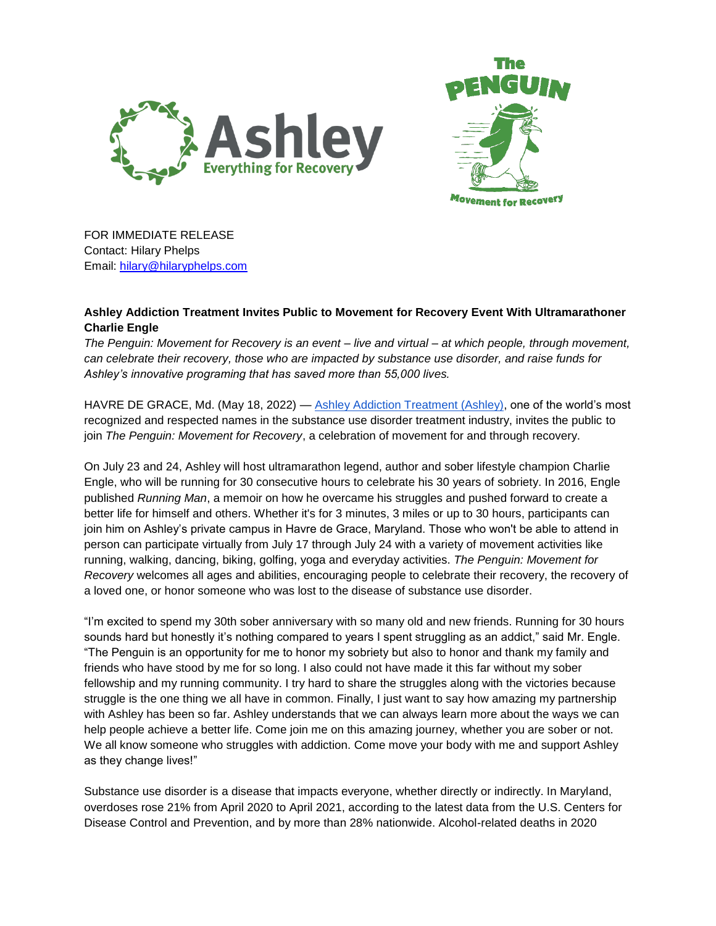



FOR IMMEDIATE RELEASE Contact: Hilary Phelps Email: [hilary@hilaryphelps.com](mailto:hilary@hilaryphelps.com)

## **Ashley Addiction Treatment Invites Public to Movement for Recovery Event With Ultramarathoner Charlie Engle**

*The Penguin: Movement for Recovery is an event – live and virtual – at which people, through movement, can celebrate their recovery, those who are impacted by substance use disorder, and raise funds for Ashley's innovative programing that has saved more than 55,000 lives.* 

HAVRE DE GRACE, Md. (May 18, 2022) — [Ashley Addiction Treatment \(Ashley\),](https://www.ashleytreatment.org/) one of the world's most recognized and respected names in the substance use disorder treatment industry, invites the public to join *The Penguin: Movement for Recovery*, a celebration of movement for and through recovery.

On July 23 and 24, Ashley will host ultramarathon legend, author and sober lifestyle champion Charlie Engle, who will be running for 30 consecutive hours to celebrate his 30 years of sobriety. In 2016, Engle published *Running Man*, a memoir on how he overcame his struggles and pushed forward to create a better life for himself and others. Whether it's for 3 minutes, 3 miles or up to 30 hours, participants can join him on Ashley's private campus in Havre de Grace, Maryland. Those who won't be able to attend in person can participate virtually from July 17 through July 24 with a variety of movement activities like running, walking, dancing, biking, golfing, yoga and everyday activities. *The Penguin: Movement for Recovery* welcomes all ages and abilities, encouraging people to celebrate their recovery, the recovery of a loved one, or honor someone who was lost to the disease of substance use disorder.

"I'm excited to spend my 30th sober anniversary with so many old and new friends. Running for 30 hours sounds hard but honestly it's nothing compared to years I spent struggling as an addict," said Mr. Engle. "The Penguin is an opportunity for me to honor my sobriety but also to honor and thank my family and friends who have stood by me for so long. I also could not have made it this far without my sober fellowship and my running community. I try hard to share the struggles along with the victories because struggle is the one thing we all have in common. Finally, I just want to say how amazing my partnership with Ashley has been so far. Ashley understands that we can always learn more about the ways we can help people achieve a better life. Come join me on this amazing journey, whether you are sober or not. We all know someone who struggles with addiction. Come move your body with me and support Ashley as they change lives!"

Substance use disorder is a disease that impacts everyone, whether directly or indirectly. In Maryland, overdoses rose 21% from April 2020 to April 2021, according to the latest data from the U.S. Centers for Disease Control and Prevention, and by more than 28% nationwide. Alcohol-related deaths in 2020